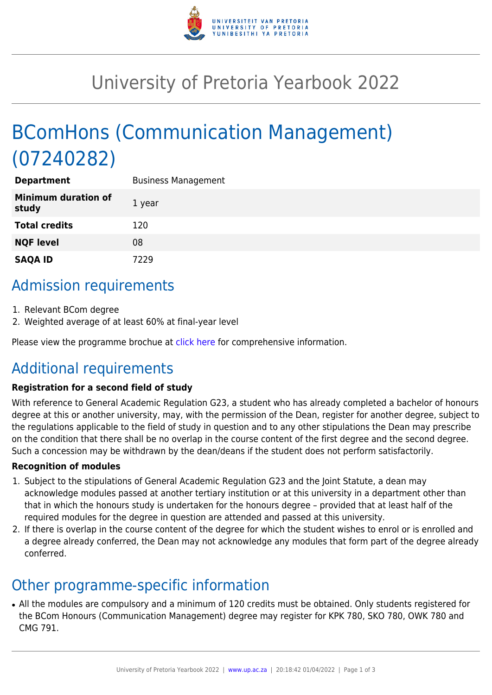

## University of Pretoria Yearbook 2022

# BComHons (Communication Management) (07240282)

| <b>Department</b>                   | <b>Business Management</b> |
|-------------------------------------|----------------------------|
| <b>Minimum duration of</b><br>study | 1 year                     |
| <b>Total credits</b>                | 120                        |
| <b>NQF level</b>                    | 08                         |
| <b>SAQA ID</b>                      | 7229                       |

### Admission requirements

- 1. Relevant BCom degree
- 2. Weighted average of at least 60% at final-year level

Please view the programme brochue at [click here](https://www.up.ac.za/media/shared/77/ZP_Files/2021/bcom-hons-communication-management-2021.zp186298.pdf) for comprehensive information.

### Additional requirements

#### **Registration for a second field of study**

With reference to General Academic Regulation G23, a student who has already completed a bachelor of honours degree at this or another university, may, with the permission of the Dean, register for another degree, subject to the regulations applicable to the field of study in question and to any other stipulations the Dean may prescribe on the condition that there shall be no overlap in the course content of the first degree and the second degree. Such a concession may be withdrawn by the dean/deans if the student does not perform satisfactorily.

#### **Recognition of modules**

- 1. Subject to the stipulations of General Academic Regulation G23 and the Joint Statute, a dean may acknowledge modules passed at another tertiary institution or at this university in a department other than that in which the honours study is undertaken for the honours degree – provided that at least half of the required modules for the degree in question are attended and passed at this university.
- 2. If there is overlap in the course content of the degree for which the student wishes to enrol or is enrolled and a degree already conferred, the Dean may not acknowledge any modules that form part of the degree already conferred.

### Other programme-specific information

• All the modules are compulsory and a minimum of 120 credits must be obtained. Only students registered for the BCom Honours (Communication Management) degree may register for KPK 780, SKO 780, OWK 780 and CMG 791.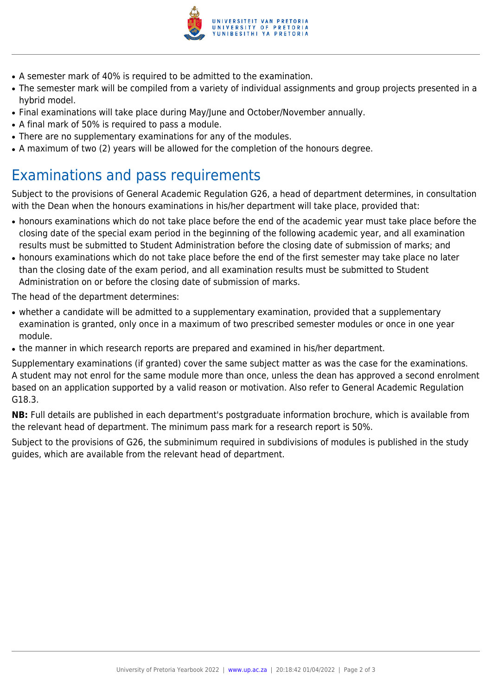

- A semester mark of 40% is required to be admitted to the examination.
- The semester mark will be compiled from a variety of individual assignments and group projects presented in a hybrid model.
- Final examinations will take place during May/June and October/November annually.
- A final mark of 50% is required to pass a module.
- There are no supplementary examinations for any of the modules.
- A maximum of two (2) years will be allowed for the completion of the honours degree.

### Examinations and pass requirements

Subject to the provisions of General Academic Regulation G26, a head of department determines, in consultation with the Dean when the honours examinations in his/her department will take place, provided that:

- honours examinations which do not take place before the end of the academic year must take place before the closing date of the special exam period in the beginning of the following academic year, and all examination results must be submitted to Student Administration before the closing date of submission of marks; and
- honours examinations which do not take place before the end of the first semester may take place no later than the closing date of the exam period, and all examination results must be submitted to Student Administration on or before the closing date of submission of marks.

The head of the department determines:

- whether a candidate will be admitted to a supplementary examination, provided that a supplementary examination is granted, only once in a maximum of two prescribed semester modules or once in one year module.
- the manner in which research reports are prepared and examined in his/her department.

Supplementary examinations (if granted) cover the same subject matter as was the case for the examinations. A student may not enrol for the same module more than once, unless the dean has approved a second enrolment based on an application supported by a valid reason or motivation. Also refer to General Academic Regulation G18.3.

**NB:** Full details are published in each department's postgraduate information brochure, which is available from the relevant head of department. The minimum pass mark for a research report is 50%.

Subject to the provisions of G26, the subminimum required in subdivisions of modules is published in the study guides, which are available from the relevant head of department.